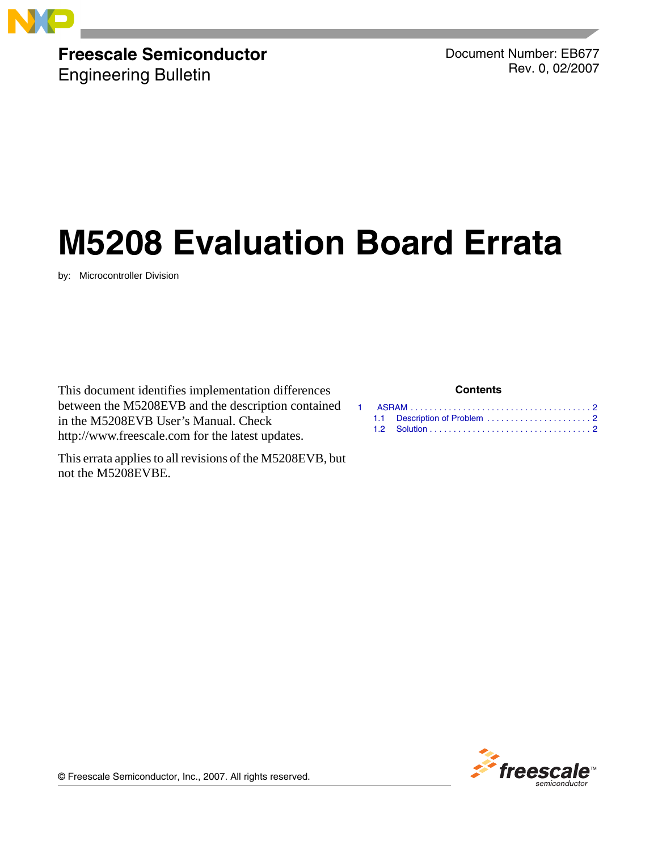

**Freescale Semiconductor** Engineering Bulletin

Document Number: EB677 Rev. 0, 02/2007

# **M5208 Evaluation Board Errata**

by: Microcontroller Division

This document identifies implementation differences between the M5208EVB and the description contained in the M5208EVB User's Manual. Check http://www.freescale.com for the latest updates.

This errata applies to all revisions of the M5208EVB, but not the M5208EVBE.

#### **Contents**



© Freescale Semiconductor, Inc., 2007. All rights reserved.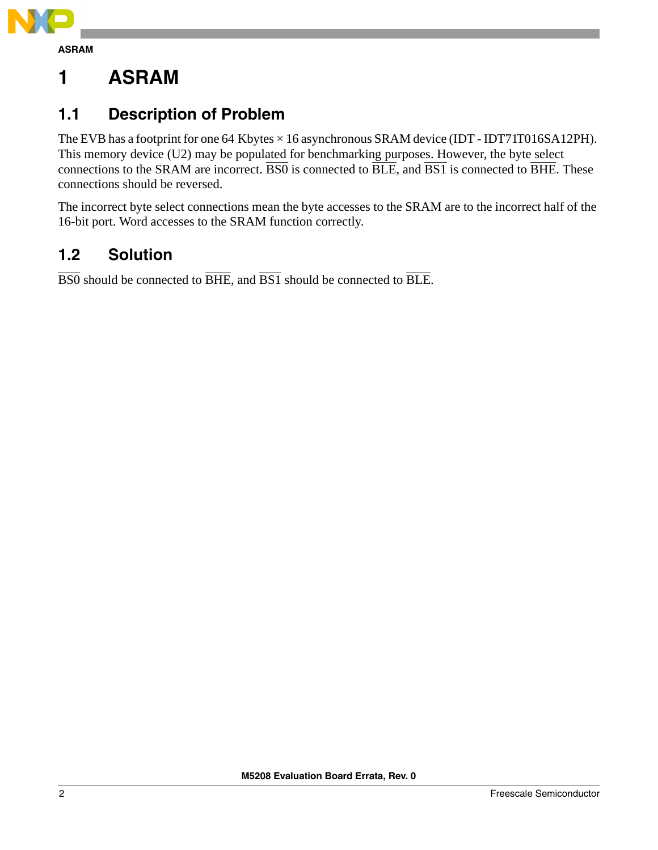

# <span id="page-1-0"></span>**1 ASRAM**

## **1.1 Description of Problem**

The EVB has a footprint for one 64 Kbytes × 16 asynchronous SRAM device (IDT - IDT71T016SA12PH). This memory device (U2) may be populated for benchmarking purposes. However, the byte select connections to the SRAM are incorrect.  $\overline{BS0}$  is connected to  $\overline{BLE}$ , and  $\overline{BS1}$  is connected to  $\overline{BHE}$ . These connections should be reversed.

The incorrect byte select connections mean the byte accesses to the SRAM are to the incorrect half of the 16-bit port. Word accesses to the SRAM function correctly.

### <span id="page-1-1"></span>**1.2 Solution**

BS0 should be connected to BHE, and BS1 should be connected to BLE.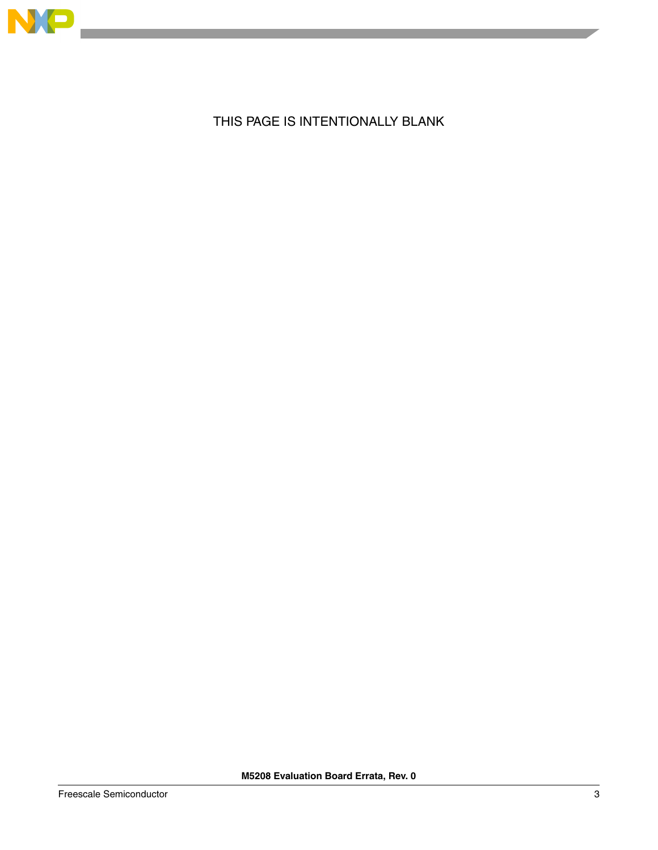

THIS PAGE IS INTENTIONALLY BLANK